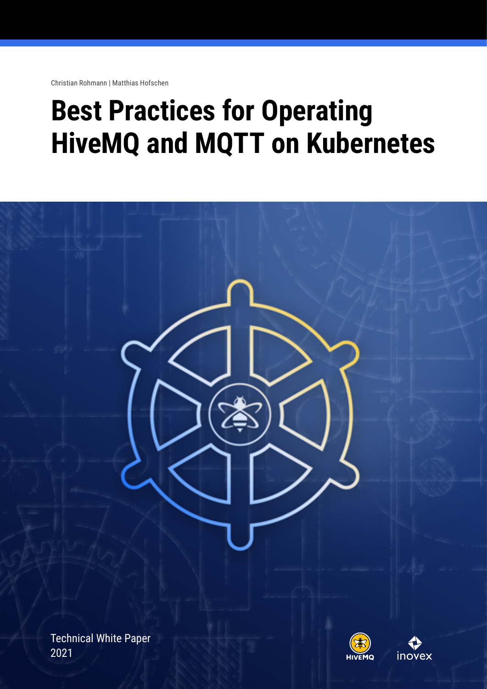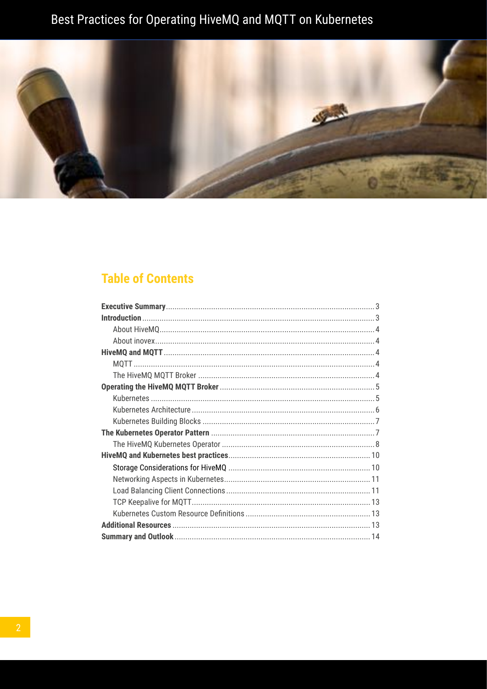

### **Table of Contents**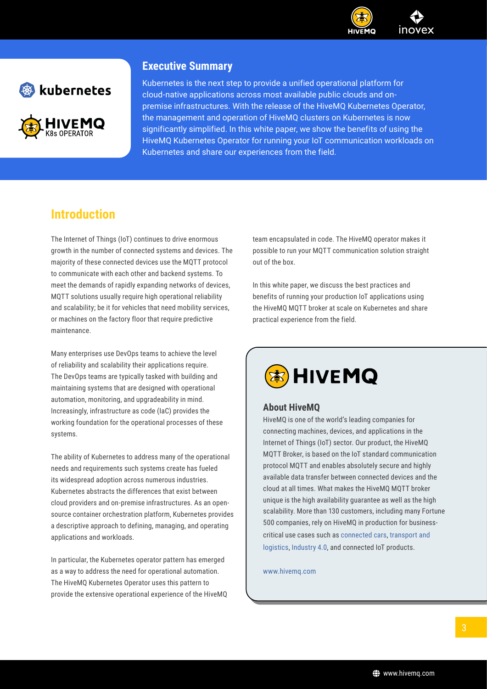

<span id="page-2-0"></span>

### **Executive Summary**

Kubernetes is the next step to provide a unified operational platform for cloud-native applications across most available public clouds and onpremise infrastructures. With the release of the HiveMQ Kubernetes Operator, the management and operation of HiveMQ clusters on Kubernetes is now significantly simplified. In this white paper, we show the benefits of using the HiveMQ Kubernetes Operator for running your IoT communication workloads on Kubernetes and share our experiences from the field.

### **Introduction**

The Internet of Things (IoT) continues to drive enormous growth in the number of connected systems and devices. The majority of these connected devices use the MQTT protocol to communicate with each other and backend systems. To meet the demands of rapidly expanding networks of devices, MQTT solutions usually require high operational reliability and scalability; be it for vehicles that need mobility services, or machines on the factory floor that require predictive maintenance.

Many enterprises use DevOps teams to achieve the level of reliability and scalability their applications require. The DevOps teams are typically tasked with building and maintaining systems that are designed with operational automation, monitoring, and upgradeability in mind. Increasingly, infrastructure as code (IaC) provides the working foundation for the operational processes of these systems.

The ability of Kubernetes to address many of the operational needs and requirements such systems create has fueled its widespread adoption across numerous industries. Kubernetes abstracts the differences that exist between cloud providers and on-premise infrastructures. As an opensource container orchestration platform, Kubernetes provides a descriptive approach to defining, managing, and operating applications and workloads.

In particular, the Kubernetes operator pattern has emerged as a way to address the need for operational automation. The HiveMQ Kubernetes Operator uses this pattern to provide the extensive operational experience of the HiveMQ team encapsulated in code. The HiveMQ operator makes it possible to run your MQTT communication solution straight out of the box.

In this white paper, we discuss the best practices and benefits of running your production IoT applications using the HiveMQ MQTT broker at scale on Kubernetes and share practical experience from the field.

# **HIVEMQ**

### **About HiveMQ**

HiveMQ is one of the world's leading companies for connecting machines, devices, and applications in the Internet of Things (IoT) sector. Our product, the HiveMQ MQTT Broker, is based on the IoT standard communication protocol MQTT and enables absolutely secure and highly available data transfer between connected devices and the cloud at all times. What makes the HiveMQ MQTT broker unique is the high availability guarantee as well as the high scalability. More than 130 customers, including many Fortune 500 companies, rely on HiveMQ in production for businesscritical use cases such as [connected cars,](https://www.hivemq.com/solutions/iot/enabling-the-connected-car/) [transport and](https://www.hivemq.com/solutions/transportation-and-logistics/)  [logistics,](https://www.hivemq.com/solutions/transportation-and-logistics/) [Industry 4.0,](https://www.hivemq.com/solutions/manufacturing/) and connected IoT products.

[www.hivemq.com](https://www.hivemq.com)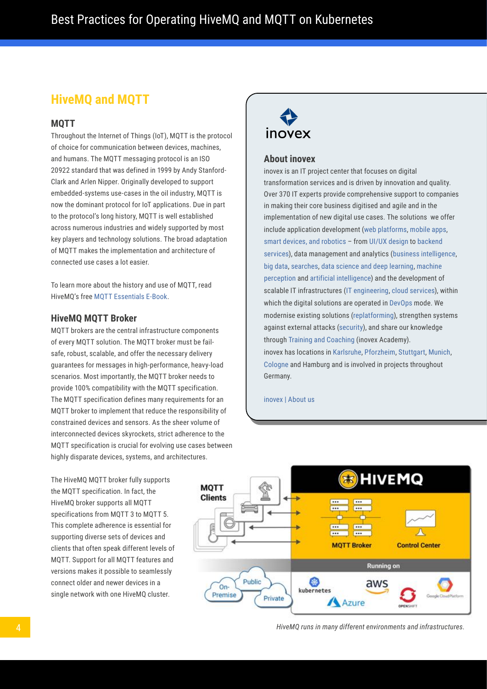### <span id="page-3-0"></span>**HiveMQ and MQTT**

### **MQTT**

Throughout the Internet of Things (IoT), MQTT is the protocol of choice for communication between devices, machines, and humans. The MQTT messaging protocol is an ISO 20922 standard that was defined in 1999 by Andy Stanford-Clark and Arlen Nipper. Originally developed to support embedded-systems use-cases in the oil industry, MQTT is now the dominant protocol for IoT applications. Due in part to the protocol's long history, MQTT is well established across numerous industries and widely supported by most key players and technology solutions. The broad adaptation of MQTT makes the implementation and architecture of connected use cases a lot easier.

To learn more about the history and use of MQTT, read HiveMQ's free [MQTT Essentials E-Book.](https://www.hivemq.com/blog/announcing-mqtt-ebook/)

#### **HiveMQ MQTT Broker**

MQTT brokers are the central infrastructure components of every MQTT solution. The MQTT broker must be failsafe, robust, scalable, and offer the necessary delivery guarantees for messages in high-performance, heavy-load scenarios. Most importantly, the MQTT broker needs to provide 100% compatibility with the MQTT specification. The MQTT specification defines many requirements for an MQTT broker to implement that reduce the responsibility of constrained devices and sensors. As the sheer volume of interconnected devices skyrockets, strict adherence to the MQTT specification is crucial for evolving use cases between highly disparate devices, systems, and architectures.

The HiveMQ MQTT broker fully supports the MQTT specification. In fact, the HiveMQ broker supports all MQTT specifications from MQTT 3 to MQTT 5. This complete adherence is essential for supporting diverse sets of devices and clients that often speak different levels of MQTT. Support for all MQTT features and versions makes it possible to seamlessly connect older and newer devices in a single network with one HiveMQ cluster.



#### **About inovex**

inovex is an IT project center that focuses on digital transformation services and is driven by innovation and quality. Over 370 IT experts provide comprehensive support to companies in making their core business digitised and agile and in the implementation of new digital use cases. The solutions we offer include application development [\(web platforms,](https://www.inovex.de/en/our-services/web/) [mobile apps,](https://www.inovex.de/en/our-services/apps/) [smart devices, and robotics](https://www.inovex.de/en/our-services/smart-devices-robotics/) – from [UI/UX design](https://www.inovex.de/en/our-services/uiux/) to [backend](https://www.inovex.de/en/our-services/backend/)  [services\)](https://www.inovex.de/en/our-services/backend/), data management and analytics ([business intelligence](https://www.inovex.de/en/our-services/business-intelligence/), [big data](https://www.inovex.de/en/our-services/big-data/), [searches](https://www.inovex.de/en/our-services/search/), [data science and deep learning,](https://www.inovex.de/en/our-services/data-science-deep-learning/) [machine](https://www.inovex.de/en/our-services/machine-perception-artificial-intelligence/)  [perception](https://www.inovex.de/en/our-services/machine-perception-artificial-intelligence/) and [artificial intelligence](https://www.inovex.de/en/our-services/machine-perception-artificial-intelligence/)) and the development of scalable IT infrastructures [\(IT engineering](https://www.inovex.de/en/our-services/it-engineering/), [cloud services](https://www.inovex.de/en/our-services/cloud/)), within which the digital solutions are operated in [DevOps](https://www.inovex.de/en/our-services/devops/) mode. We modernise existing solutions [\(replatforming](https://www.inovex.de/en/our-services/replatforming/)), strengthen systems against external attacks [\(security\)](https://www.inovex.de/en/our-services/security/), and share our knowledge through [Training and Coaching](https://www.inovex.de/en/our-services/training/) (inovex Academy). inovex has locations in [Karlsruhe,](https://www.inovex.de/en/about-us/offices/office-karlsruhe/) [Pforzheim](https://www.inovex.de/en/about-us/offices/office-pforzheim/), [Stuttgart](https://www.inovex.de/en/about-us/offices/office-stuttgart/), [Munich,](https://www.inovex.de/en/about-us/offices/office-munich/) [Cologne](https://www.inovex.de/en/about-us/offices/office-hamburg/) and Hamburg and is involved in projects throughout Germany.

[inovex | About us](https://www.inovex.de/en/about-us/)



*HiveMQ runs in many different environments and infrastructures.*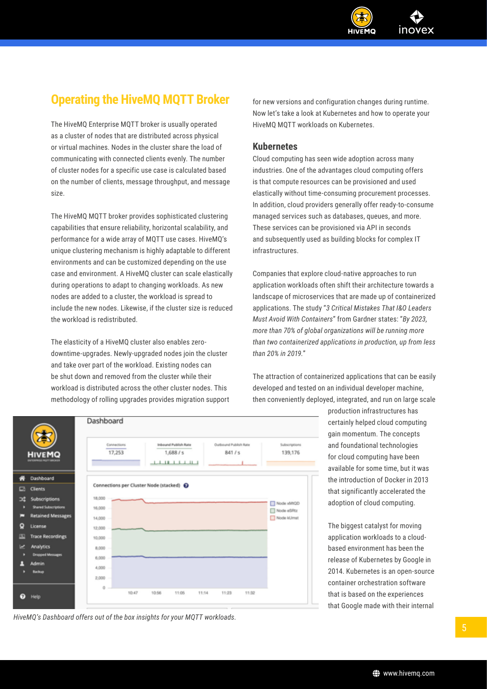

### <span id="page-4-0"></span>**Operating the HiveMQ MQTT Broker**

The HiveMQ Enterprise MQTT broker is usually operated as a cluster of nodes that are distributed across physical or virtual machines. Nodes in the cluster share the load of communicating with connected clients evenly. The number of cluster nodes for a specific use case is calculated based on the number of clients, message throughput, and message size.

The HiveMQ MQTT broker provides sophisticated clustering capabilities that ensure reliability, horizontal scalability, and performance for a wide array of MQTT use cases. HiveMQ's unique clustering mechanism is highly adaptable to different environments and can be customized depending on the use case and environment. A HiveMQ cluster can scale elastically during operations to adapt to changing workloads. As new nodes are added to a cluster, the workload is spread to include the new nodes. Likewise, if the cluster size is reduced the workload is redistributed.

The elasticity of a HiveMQ cluster also enables zerodowntime-upgrades. Newly-upgraded nodes join the cluster and take over part of the workload. Existing nodes can be shut down and removed from the cluster while their workload is distributed across the other cluster nodes. This methodology of rolling upgrades provides migration support for new versions and configuration changes during runtime. Now let's take a look at Kubernetes and how to operate your HiveMQ MQTT workloads on Kubernetes.

#### **Kubernetes**

Cloud computing has seen wide adoption across many industries. One of the advantages cloud computing offers is that compute resources can be provisioned and used elastically without time-consuming procurement processes. In addition, cloud providers generally offer ready-to-consume managed services such as databases, queues, and more. These services can be provisioned via API in seconds and subsequently used as building blocks for complex IT infrastructures.

Companies that explore cloud-native approaches to run application workloads often shift their architecture towards a landscape of microservices that are made up of containerized applications. The study "*3 Critical Mistakes That I&O Leaders Must Avoid With Containers*" from Gardner states: "*By 2023, more than 70% of global organizations will be running more than two containerized applications in production, up from less than 20% in 2019.*"

The attraction of containerized applications that can be easily developed and tested on an individual developer machine, then conveniently deployed, integrated, and run on large scale



production infrastructures has certainly helped cloud computing gain momentum. The concepts and foundational technologies for cloud computing have been available for some time, but it was the introduction of Docker in 2013 that significantly accelerated the adoption of cloud computing.

The biggest catalyst for moving application workloads to a cloudbased environment has been the release of Kubernetes by Google in 2014. Kubernetes is an open-source container orchestration software that is based on the experiences that Google made with their internal

*HiveMQ's Dashboard offers out of the box insights for your MQTT workloads.*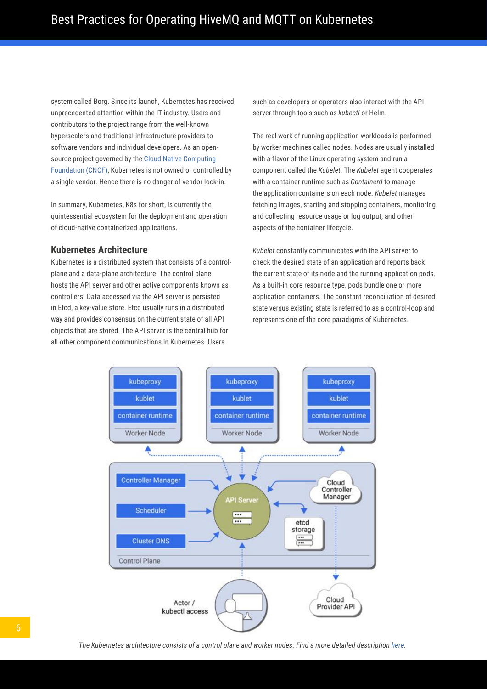<span id="page-5-0"></span>system called Borg. Since its launch, Kubernetes has received unprecedented attention within the IT industry. Users and contributors to the project range from the well-known hyperscalers and traditional infrastructure providers to software vendors and individual developers. As an opensource project governed by the [Cloud Native Computing](https://www.cncf.io/)  [Foundation \(CNCF\),](https://www.cncf.io/) Kubernetes is not owned or controlled by a single vendor. Hence there is no danger of vendor lock-in.

In summary, Kubernetes, K8s for short, is currently the quintessential ecosystem for the deployment and operation of cloud-native containerized applications.

#### **Kubernetes Architecture**

Kubernetes is a distributed system that consists of a controlplane and a data-plane architecture. The control plane hosts the API server and other active components known as controllers. Data accessed via the API server is persisted in Etcd, a key-value store. Etcd usually runs in a distributed way and provides consensus on the current state of all API objects that are stored. The API server is the central hub for all other component communications in Kubernetes. Users

such as developers or operators also interact with the API server through tools such as *kubectl* or Helm.

The real work of running application workloads is performed by worker machines called nodes. Nodes are usually installed with a flavor of the Linux operating system and run a component called the *Kubelet*. The *Kubelet* agent cooperates with a container runtime such as *Containerd* to manage the application containers on each node. *Kubelet* manages fetching images, starting and stopping containers, monitoring and collecting resource usage or log output, and other aspects of the container lifecycle.

*Kubelet* constantly communicates with the API server to check the desired state of an application and reports back the current state of its node and the running application pods. As a built-in core resource type, pods bundle one or more application containers. The constant reconciliation of desired state versus existing state is referred to as a control-loop and represents one of the core paradigms of Kubernetes.

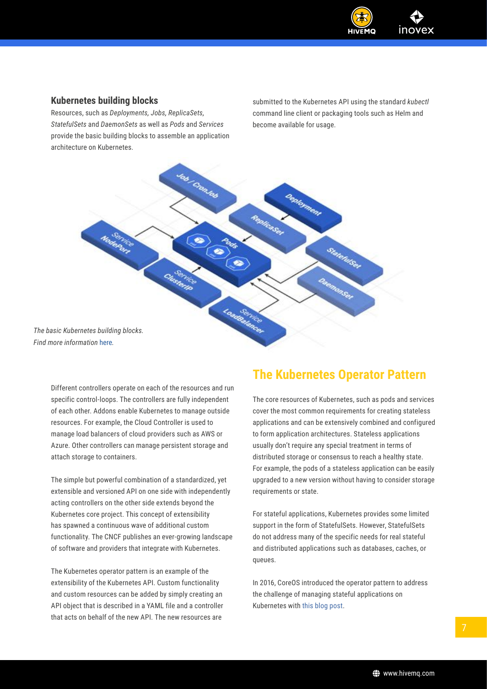

### <span id="page-6-0"></span>**Kubernetes building blocks**

Resources, such as *Deployments, Jobs, ReplicaSets, StatefulSets* and *DaemonSets* as well as *Pods* and *Services*  provide the basic building blocks to assemble an application architecture on Kubernetes.

submitted to the Kubernetes API using the standard *kubectl* command line client or packaging tools such as Helm and become available for usage.

Jab Cronball Deployment State full Ser Loudestance *The basic Kubernetes building blocks. Find more information* [here](https://brennerm.github.io/posts/kubernetes-overview-diagrams.html%23workload)*.*

Different controllers operate on each of the resources and run specific control-loops. The controllers are fully independent of each other. Addons enable Kubernetes to manage outside resources. For example, the Cloud Controller is used to manage load balancers of cloud providers such as AWS or Azure. Other controllers can manage persistent storage and attach storage to containers.

The simple but powerful combination of a standardized, yet extensible and versioned API on one side with independently acting controllers on the other side extends beyond the Kubernetes core project. This concept of extensibility has spawned a continuous wave of additional custom functionality. The CNCF publishes an ever-growing [landscape](https://landscape.cncf.io)  [of software and providers](https://landscape.cncf.io) that integrate with Kubernetes.

The Kubernetes operator pattern is an example of the extensibility of the Kubernetes API. Custom functionality and custom resources can be added by simply creating an API object that is described in a YAML file and a controller that acts on behalf of the new API. The new resources are

### **The Kubernetes Operator Pattern**

The core resources of Kubernetes, such as pods and services cover the most common requirements for creating stateless applications and can be extensively combined and configured to form application architectures. Stateless applications usually don't require any special treatment in terms of distributed storage or consensus to reach a healthy state. For example, the pods of a stateless application can be easily upgraded to a new version without having to consider storage requirements or state.

For stateful applications, Kubernetes provides some limited support in the form of StatefulSets. However, StatefulSets do not address many of the specific needs for real stateful and distributed applications such as databases, caches, or queues.

In 2016, CoreOS introduced the operator pattern to address the challenge of managing stateful applications on Kubernetes with [this blog post](https://coreos.com/blog/introducing-operators.html).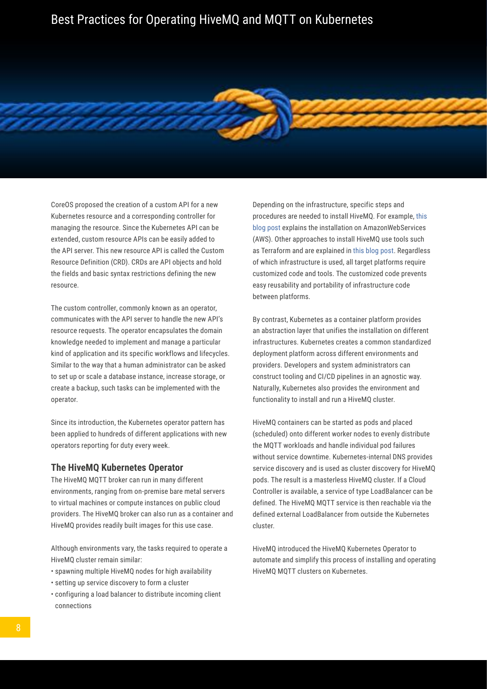<span id="page-7-0"></span>CoreOS proposed the creation of a custom API for a new Kubernetes resource and a corresponding controller for managing the resource. Since the Kubernetes API can be extended, custom resource APIs can be easily added to the API server. This new resource API is called the Custom Resource Definition (CRD). CRDs are API objects and hold the fields and basic syntax restrictions defining the new resource.

The custom controller, commonly known as an operator, communicates with the API server to handle the new API's resource requests. The operator encapsulates the domain knowledge needed to implement and manage a particular kind of application and its specific workflows and lifecycles. Similar to the way that a human administrator can be asked to set up or scale a database instance, increase storage, or create a backup, such tasks can be implemented with the operator.

Since its introduction, the Kubernetes operator pattern has been applied to hundreds of different applications with new operators reporting for duty every week.

#### **The HiveMQ Kubernetes Operator**

The HiveMQ MQTT broker can run in many different environments, ranging from on-premise bare metal servers to virtual machines or compute instances on public cloud providers. The HiveMQ broker can also run as a container and HiveMQ provides readily built images for this use case.

Although environments vary, the tasks required to operate a HiveMQ cluster remain similar:

- spawning multiple HiveMQ nodes for high availability
- setting up service discovery to form a cluster
- configuring a load balancer to distribute incoming client connections

Depending on the infrastructure, specific steps and procedures are needed to install HiveMQ. For example, [this](https://www.hivemq.com/blog/running-hivemq-cluster-aws-auto-discovery)  [blog post](https://www.hivemq.com/blog/running-hivemq-cluster-aws-auto-discovery) explains the installation on AmazonWebServices (AWS). Other approaches to install HiveMQ use tools such as Terraform and are explained in [this blog post](https://www.hivemq.com/blog/setup-hivemq-with-concourse-pipeline). Regardless of which infrastructure is used, all target platforms require customized code and tools. The customized code prevents easy reusability and portability of infrastructure code between platforms.

By contrast, Kubernetes as a container platform provides an abstraction layer that unifies the installation on different infrastructures. Kubernetes creates a common standardized deployment platform across different environments and providers. Developers and system administrators can construct tooling and CI/CD pipelines in an agnostic way. Naturally, Kubernetes also provides the environment and functionality to install and run a HiveMQ cluster.

HiveMQ containers can be started as pods and placed (scheduled) onto different worker nodes to evenly distribute the MQTT workloads and handle individual pod failures without service downtime. Kubernetes-internal DNS provides service discovery and is used as cluster discovery for HiveMQ pods. The result is a masterless HiveMQ cluster. If a Cloud Controller is available, a service of type LoadBalancer can be defined. The HiveMQ MQTT service is then reachable via the defined external LoadBalancer from outside the Kubernetes cluster.

HiveMQ introduced the HiveMQ Kubernetes Operator to automate and simplify this process of installing and operating HiveMQ MQTT clusters on Kubernetes.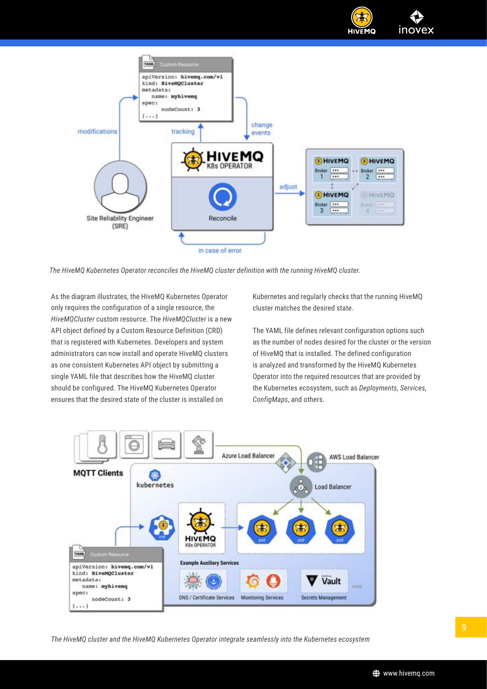

*The HiveMQ Kubernetes Operator reconciles the HiveMQ cluster definition with the running HiveMQ cluster.*

As the diagram illustrates, the HiveMQ Kubernetes Operator only requires the configuration of a single resource, the *HiveMQCluster* custom resource. The *HiveMQCluster* is a new API object defined by a Custom Resource Definition (CRD) that is registered with Kubernetes. Developers and system administrators can now install and operate HiveMQ clusters as one consistent Kubernetes API object by submitting a single YAML file that describes how the HiveMQ cluster should be configured. The HiveMQ Kubernetes Operator ensures that the desired state of the cluster is installed on

Kubernetes and regularly checks that the running HiveMQ cluster matches the desired state.

The YAML file defines relevant configuration options such as the number of nodes desired for the cluster or the version of HiveMQ that is installed. The defined configuration is analyzed and transformed by the HiveMQ Kubernetes Operator into the required resources that are provided by the Kubernetes ecosystem, such as *Deployments, Services, ConfigMaps*, and others.

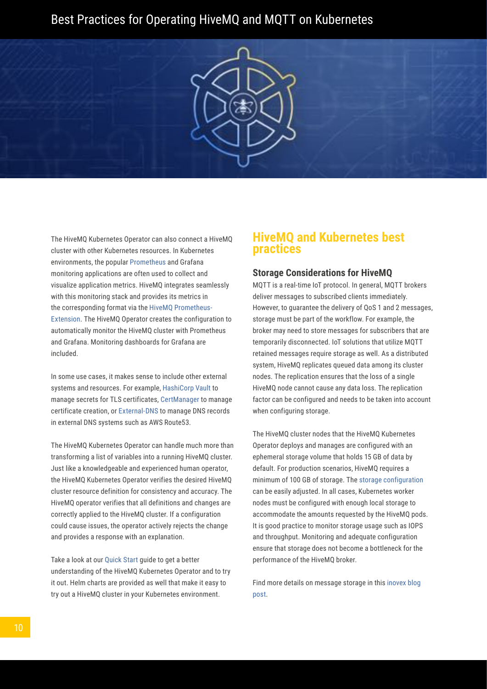<span id="page-9-0"></span>

The HiveMQ Kubernetes Operator can also connect a HiveMQ cluster with other Kubernetes resources. In Kubernetes environments, the popular [Prometheus](https://github.com/prometheus-operator/prometheus-operator) and Grafana monitoring applications are often used to collect and visualize application metrics. HiveMQ integrates seamlessly with this monitoring stack and provides its metrics in the corresponding format via the [HiveMQ Prometheus-](https://github.com/hivemq/hivemq-prometheus-extension)[Extension](https://github.com/hivemq/hivemq-prometheus-extension). The HiveMQ Operator creates the configuration to automatically monitor the HiveMQ cluster with Prometheus and Grafana. Monitoring dashboards for Grafana are included.

In some use cases, it makes sense to include other external systems and resources. For example, [HashiCorp Vault](https://www.vaultproject.io/) to manage secrets for TLS certificates, [CertManager](https://github.com/jetstack/cert-manager) to manage certificate creation, or [External-DNS](https://github.com/kubernetes-sigs/external-dns) to manage DNS records in external DNS systems such as AWS Route53.

The HiveMQ Kubernetes Operator can handle much more than transforming a list of variables into a running HiveMQ cluster. Just like a knowledgeable and experienced human operator, the HiveMQ Kubernetes Operator verifies the desired HiveMQ cluster resource definition for consistency and accuracy. The HiveMQ operator verifies that all definitions and changes are correctly applied to the HiveMQ cluster. If a configuration could cause issues, the operator actively rejects the change and provides a response with an explanation.

Take a look at our [Quick Start](https://www.hivemq.com/docs/operator/latest/kubernetes-operator/operator-intro.html%23quick-start) guide to get a better understanding of the HiveMQ Kubernetes Operator and to try it out. Helm charts are provided as well that make it easy to try out a HiveMQ cluster in your Kubernetes environment.

### **HiveMQ and Kubernetes best practices**

#### **Storage Considerations for HiveMQ**

MQTT is a real-time IoT protocol. In general, MQTT brokers deliver messages to subscribed clients immediately. However, to guarantee the delivery of QoS 1 and 2 messages, storage must be part of the workflow. For example, the broker may need to store messages for subscribers that are temporarily disconnected. IoT solutions that utilize MQTT retained messages require storage as well. As a distributed system, HiveMQ replicates queued data among its cluster nodes. The replication ensures that the loss of a single HiveMQ node cannot cause any data loss. The replication factor can be configured and needs to be taken into account when configuring storage.

The HiveMQ cluster nodes that the HiveMQ Kubernetes Operator deploys and manages are configured with an ephemeral storage volume that holds 15 GB of data by default. For production scenarios, HiveMQ requires a minimum of 100 GB of storage. The [storage configuration](https://www.hivemq.com/docs/operator/latest/kubernetes-operator/configuration.html%23limits) can be easily adjusted. In all cases, Kubernetes worker nodes must be configured with enough local storage to accommodate the amounts requested by the HiveMQ pods. It is good practice to monitor storage usage such as IOPS and throughput. Monitoring and adequate configuration ensure that storage does not become a bottleneck for the performance of the HiveMQ broker.

Find more details on message storage in this [inovex blog](https://www.inovex.de/blog/kubernetes-storage-volume-cloning-ephemeral-inline-volumes-snapshots/)  [post](https://www.inovex.de/blog/kubernetes-storage-volume-cloning-ephemeral-inline-volumes-snapshots/).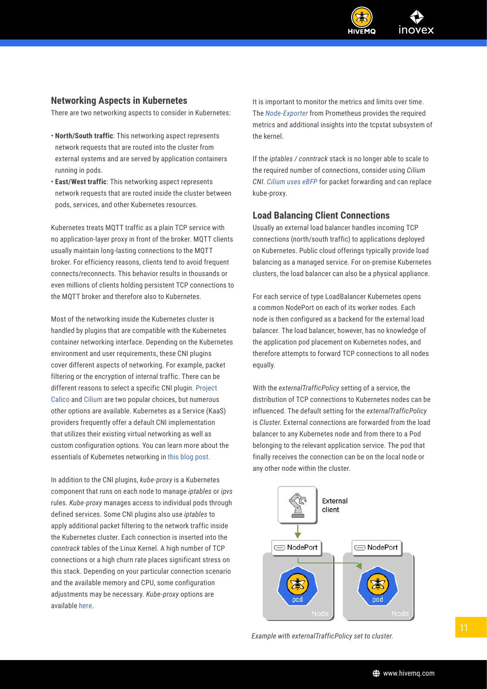

### <span id="page-10-0"></span>**Networking Aspects in Kubernetes**

There are two networking aspects to consider in Kubernetes:

- **North/South traffic**: This networking aspect represents network requests that are routed into the cluster from external systems and are served by application containers running in pods.
- **East/West traffic**: This networking aspect represents network requests that are routed inside the cluster between pods, services, and other Kubernetes resources.

Kubernetes treats MQTT traffic as a plain TCP service with no application-layer proxy in front of the broker. MQTT clients usually maintain long-lasting connections to the MQTT broker. For efficiency reasons, clients tend to avoid frequent connects/reconnects. This behavior results in thousands or even millions of clients holding persistent TCP connections to the MQTT broker and therefore also to Kubernetes.

Most of the networking inside the Kubernetes cluster is handled by plugins that are compatible with the Kubernetes container networking interface. Depending on the Kubernetes environment and user requirements, these CNI plugins cover different aspects of networking. For example, packet filtering or the encryption of internal traffic. There can be different reasons to select a specific CNI plugin. [Project](https://www.projectcalico.org/)  [Calico](https://www.projectcalico.org/) and [Cilium](https://cilium.io) are two popular choices, but numerous other options are available. Kubernetes as a Service (KaaS) providers frequently offer a default CNI implementation that utilizes their existing virtual networking as well as custom configuration options. You can learn more about the essentials of Kubernetes networking in [this blog post.](https://www.inovex.de/blog/kubernetes-networking-part-1-en/)

In addition to the CNI plugins, *kube-proxy* is a Kubernetes component that runs on each node to manage *iptables* or *ipvs* rules. *Kube-proxy* manages access to individual pods through defined services. Some CNI plugins also use *iptables* to apply additional packet filtering to the network traffic inside the Kubernetes cluster. Each connection is inserted into the *conntrack* tables of the Linux Kernel. A high number of TCP connections or a high churn rate places significant stress on this stack. Depending on your particular connection scenario and the available memory and CPU, some configuration adjustments may be necessary. *Kube-proxy* options are available [here.](https://kubernetes.io/docs/reference/command-line-tools-reference/kube-proxy)

It is important to monitor the metrics and limits over time. The *[Node-Exporter](https://www.robustperception.io/conntrack-metrics-from-the-node-exporter)* from Prometheus provides the required metrics and additional insights into the tcpstat subsystem of the kernel.

If the *iptables / conntrack* stack is no longer able to scale to the required number of connections, consider using *Cilium CNI*. *[Cilium uses eBFP](https://docs.cilium.io/en/v1.9/gettingstarted/kubeproxy-free/)* for packet forwarding and can replace kube-proxy.

#### **Load Balancing Client Connections**

Usually an external load balancer handles incoming TCP connections (north/south traffic) to applications deployed on Kubernetes. Public cloud offerings typically provide load balancing as a managed service. For on-premise Kubernetes clusters, the load balancer can also be a physical appliance.

For each service of type LoadBalancer Kubernetes opens a common NodePort on each of its worker nodes. Each node is then configured as a backend for the external load balancer. The load balancer, however, has no knowledge of the application pod placement on Kubernetes nodes, and therefore attempts to forward TCP connections to all nodes equally.

With the *externalTrafficPolicy* setting of a service, the distribution of TCP connections to Kubernetes nodes can be influenced. The default setting for the *externalTrafficPolicy* is *Cluster*. External connections are forwarded from the load balancer to any Kubernetes node and from there to a Pod belonging to the relevant application service. The pod that finally receives the connection can be on the local node or any other node within the cluster.



*Example with externalTrafficPolicy set to cluster.*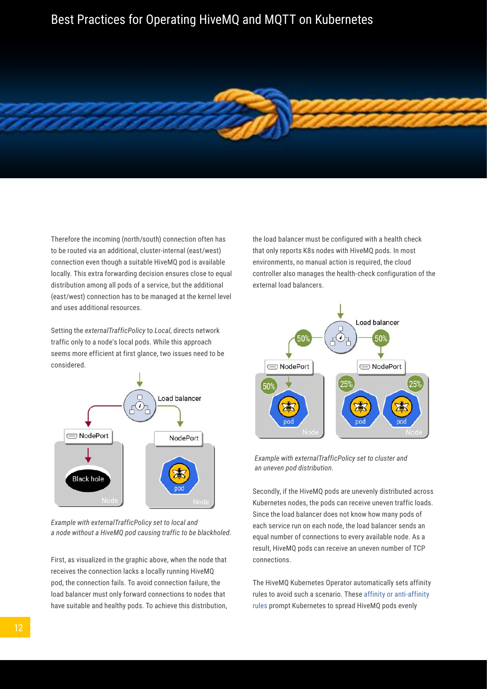Therefore the incoming (north/south) connection often has to be routed via an additional, cluster-internal (east/west) connection even though a suitable HiveMQ pod is available locally. This extra forwarding decision ensures close to equal distribution among all pods of a service, but the additional (east/west) connection has to be managed at the kernel level and uses additional resources.

Setting the *externalTrafficPolicy* to *Local*, directs network traffic only to a node's local pods. While this approach seems more efficient at first glance, two issues need to be considered.



*Example with externalTrafficPolicy set to local and a node without a HiveMQ pod causing traffic to be blackholed.*

First, as visualized in the graphic above, when the node that receives the connection lacks a locally running HiveMQ pod, the connection fails. To avoid connection failure, the load balancer must only forward connections to nodes that have suitable and healthy pods. To achieve this distribution, the load balancer must be configured with a health check that only reports K8s nodes with HiveMQ pods. In most environments, no manual action is required, the cloud controller also manages the health-check configuration of the external load balancers.



*Example with externalTrafficPolicy set to cluster and an uneven pod distribution.*

Secondly, if the HiveMQ pods are unevenly distributed across Kubernetes nodes, the pods can receive uneven traffic loads. Since the load balancer does not know how many pods of each service run on each node, the load balancer sends an equal number of connections to every available node. As a result, HiveMQ pods can receive an uneven number of TCP connections.

The HiveMQ Kubernetes Operator automatically sets affinity rules to avoid such a scenario. These [affinity or anti-affinity](https://kubernetes.io/docs/concepts/scheduling-eviction/assign-pod-node/%23affinity-and-anti-affinity)  [rules](https://kubernetes.io/docs/concepts/scheduling-eviction/assign-pod-node/%23affinity-and-anti-affinity) prompt Kubernetes to spread HiveMQ pods evenly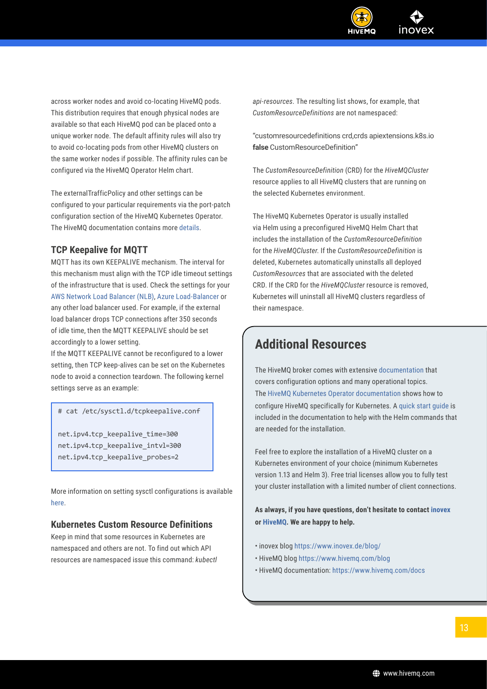

<span id="page-12-0"></span>across worker nodes and avoid co-locating HiveMQ pods. This distribution requires that enough physical nodes are available so that each HiveMQ pod can be placed onto a unique worker node. The default affinity rules will also try to avoid co-locating pods from other HiveMQ clusters on the same worker nodes if possible. The affinity rules can be configured via the HiveMQ Operator Helm chart.

The externalTrafficPolicy and other settings can be configured to your particular requirements via the port-patch configuration section of the HiveMQ Kubernetes Operator. The HiveMQ documentation contains more [details.](https://www.hivemq.com/docs/operator/4.4/kubernetes-operator/configuration.html%23ports-patch)

### **TCP Keepalive for MQTT**

MQTT has its own KEEPALIVE mechanism. The interval for this mechanism must align with the TCP idle timeout settings of the infrastructure that is used. Check the settings for your [AWS Network Load Balancer \(NLB\)](https://docs.aws.amazon.com/elasticloadbalancing/latest/network/network-load-balancers.html%23connection-idle-timeout), [Azure Load-Balancer](https://docs.microsoft.com/en-us/azure/load-balancer/load-balancer-tcp-reset%23configurable-tcp-idle-timeout) or any other load balancer used. For example, if the external load balancer drops TCP connections after 350 seconds of idle time, then the MQTT KEEPALIVE should be set accordingly to a lower setting.

If the MQTT KEEPALIVE cannot be reconfigured to a lower setting, then TCP keep-alives can be set on the Kubernetes node to avoid a connection teardown. The following kernel settings serve as an example:

# cat /etc/sysctl.d/tcpkeepalive.conf

net.ipv4.tcp\_keepalive\_time=300 net.ipv4.tcp\_keepalive\_intvl=300 net.ipv4.tcp\_keepalive\_probes=2

More information on setting sysctl configurations is available [here](https://kubernetes.io/docs/tasks/administer-cluster/sysctl-cluster/%23enabling-unsafe-sysctls).

#### **Kubernetes Custom Resource Definitions**

Keep in mind that some resources in Kubernetes are namespaced and others are not. To find out which API resources are namespaced issue this command: *kubectl*  *api-resources*. The resulting list shows, for example, that *CustomResourceDefinitions* are not namespaced:

"customresourcedefinitions crd,crds apiextensions.k8s.io **false** CustomResourceDefinition"

The *CustomResourceDefinition* (CRD) for the *HiveMQCluster* resource applies to all HiveMQ clusters that are running on the selected Kubernetes environment.

The HiveMQ Kubernetes Operator is usually installed via Helm using a preconfigured HiveMQ Helm Chart that includes the installation of the *CustomResourceDefinition*  for the *HiveMQCluster*. If the *CustomResourceDefinition* is deleted, Kubernetes automatically uninstalls all deployed *CustomResources* that are associated with the deleted CRD. If the CRD for the *HiveMQCluster* resource is removed, Kubernetes will uninstall all HiveMQ clusters regardless of their namespace.

### **Additional Resources**

The HiveMQ broker comes with extensive [documentation](https://www.hivemq.com/docs/hivemq) that covers configuration options and many operational topics. The [HiveMQ Kubernetes Operator documentation](https://www.hivemq.com/docs/operator) shows how to configure HiveMQ specifically for Kubernetes. A [quick start guide](https://www.hivemq.com/docs/operator/latest/kubernetes-operator/operator-intro.html%23quick-start) is included in the documentation to help with the Helm commands that are needed for the installation.

Feel free to explore the installation of a HiveMQ cluster on a Kubernetes environment of your choice (minimum Kubernetes version 1.13 and Helm 3). Free trial licenses allow you to fully test your cluster installation with a limited number of client connections.

**As always, if you have questions, don't hesitate to contact [inovex](https://www.inovex.de/en/about-us/contact-us/) or [HiveMQ](https://www.hivemq.com/contact). We are happy to help.**

- inovex blog<https://www.inovex.de/blog/>
- HiveMQ blog<https://www.hivemq.com/blog>
- HiveMQ documentation:<https://www.hivemq.com/docs>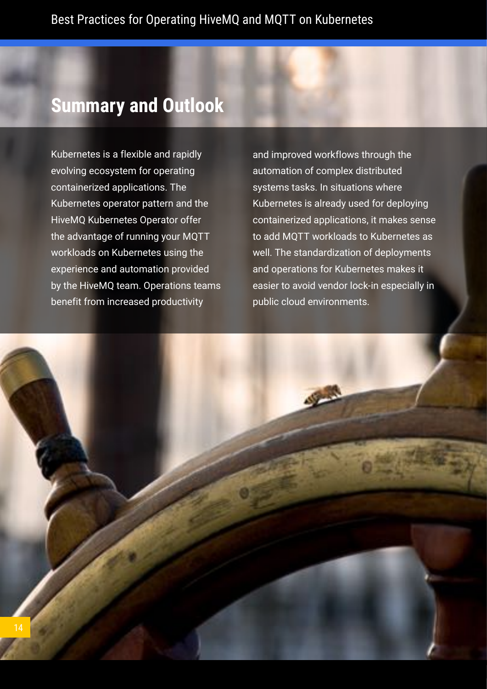# <span id="page-13-0"></span>**Summary and Outlook**

Kubernetes is a flexible and rapidly evolving ecosystem for operating containerized applications. The Kubernetes operator pattern and the HiveMQ Kubernetes Operator offer the advantage of running your MQTT workloads on Kubernetes using the experience and automation provided by the HiveMQ team. Operations teams benefit from increased productivity

and improved workflows through the automation of complex distributed systems tasks. In situations where Kubernetes is already used for deploying containerized applications, it makes sense to add MQTT workloads to Kubernetes as well. The standardization of deployments and operations for Kubernetes makes it easier to avoid vendor lock-in especially in public cloud environments.